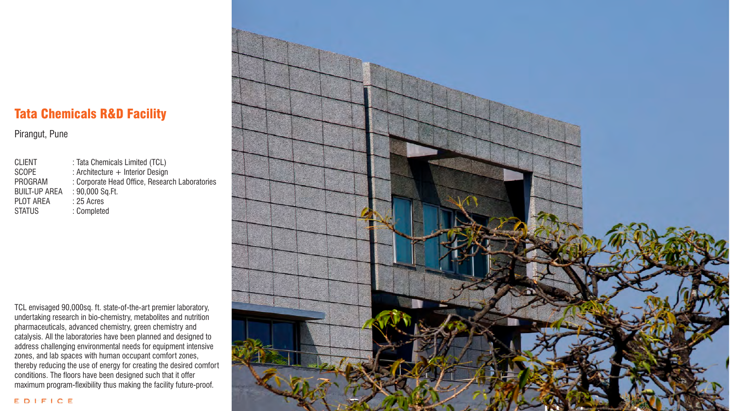## Tata Chemicals R&D Facility

## Pirangut, Pune

| <b>CLIENT</b><br>SCOPE | : Tata Chemicals Limited (TCL)<br>: Architecture + Interior Design |
|------------------------|--------------------------------------------------------------------|
| <b>PROGRAM</b>         | : Corporate Head Office, Research Laboratories                     |
| BUILT-UP AREA          | : 90,000 Sq.Ft.                                                    |
| PLOT AREA              | $: 25$ Acres                                                       |
| STATUS                 | : Completed                                                        |
|                        |                                                                    |

TCL envisaged 90,000sq. ft. state-of-the-art premier laboratory, undertaking research in bio-chemistry, metabolites and nutrition pharmaceuticals, advanced chemistry, green chemistry and catalysis. All the laboratories have been planned and designed to address challenging environmental needs for equipment intensive zones, and lab spaces with human occupant comfort zones, thereby reducing the use of energy for creating the desired comfort conditions. The floors have been designed such that it offer maximum program-flexibility thus making the facility future-proof.

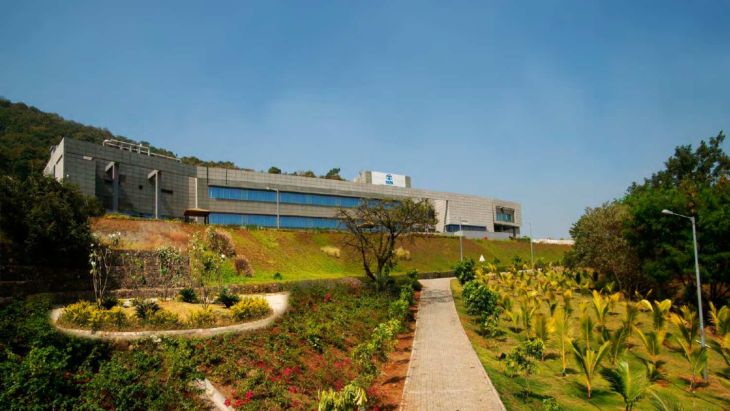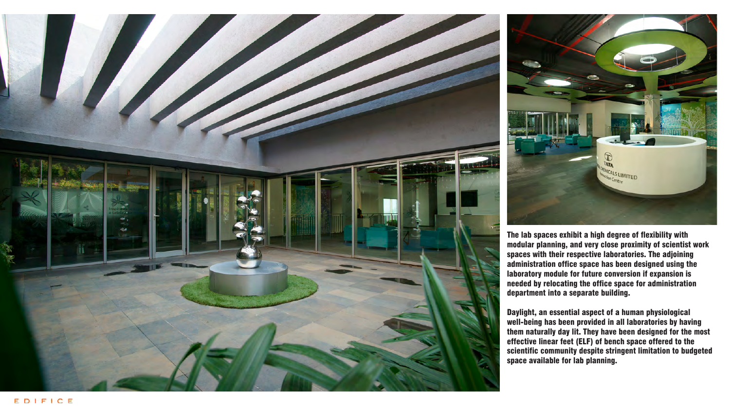



The lab spaces exhibit a high degree of flexibility with modular planning, and very close proximity of scientist work spaces with their respective laboratories. The adjoining administration office space has been designed using the laboratory module for future conversion if expansion is needed by relocating the office space for administration department into a separate building.

Daylight, an essential aspect of a human physiological well-being has been provided in all laboratories by having them naturally day lit. They have been designed for the most effective linear feet (ELF) of bench space offered to the scientific community despite stringent limitation to budgeted space available for lab planning.